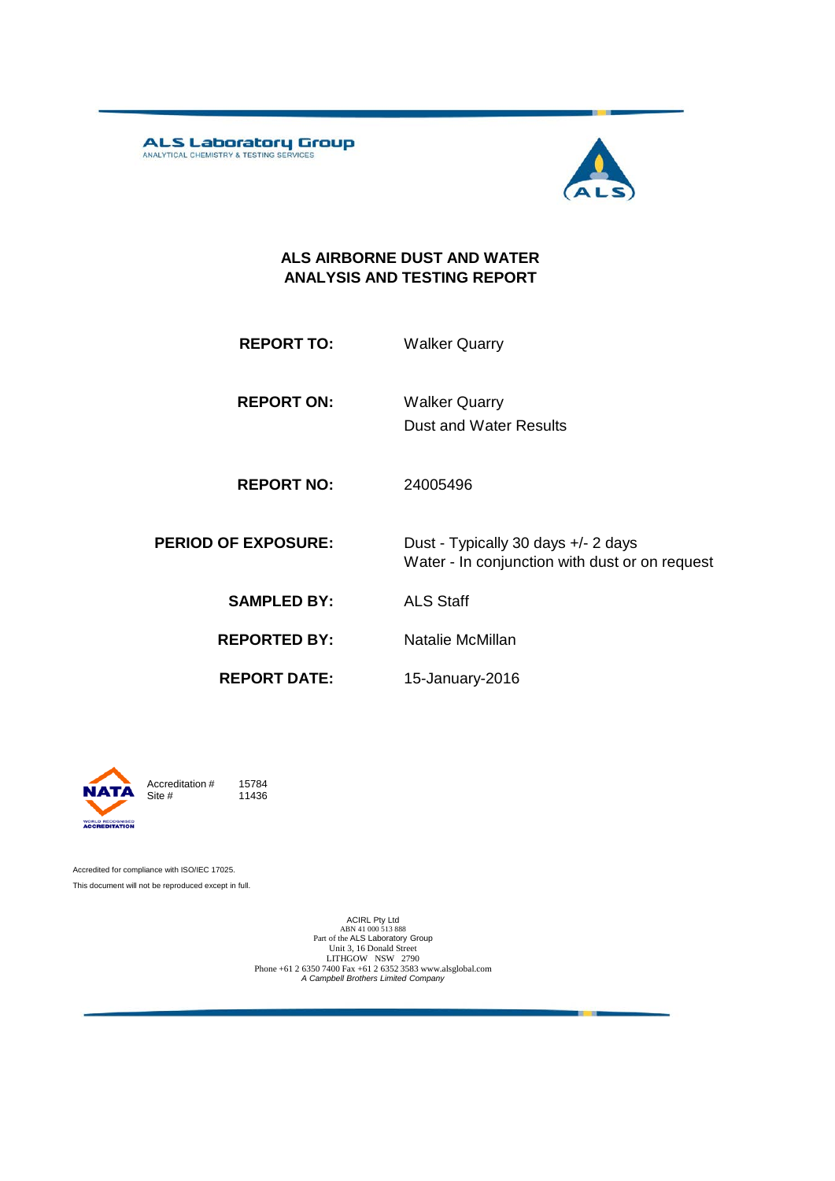ALS Laboratory Group



Water - In conjunction with dust or on request

#### **ALS AIRBORNE DUST AND WATER ANALYSIS AND TESTING REPORT**

**REPORT TO:** Walker Quarry

**REPORT ON:** Dust and Water Results Walker Quarry

**REPORT NO:** 24005496

**PERIOD OF EXPOSURE:** Dust - Typically 30 days +/- 2 days

**SAMPLED BY:** ALS Staff

**REPORTED BY:** Natalie McMillan

**REPORT DATE:**

15-January-2016



Accreditation  $\#$  15784<br>Site  $\#$  11436 11436

Accredited for compliance with ISO/IEC 17025. This document will not be reproduced except in full.

> ACIRL Pty Ltd<br>ABN 41 000 513 888<br>Part of the ALS Laboratory Group Unit 3, 16 Donald Street LITHGOW NSW 2790 Phone +61 2 6350 7400 Fax +61 2 6352 3583 www.alsglobal.com *A Campbell Brothers Limited Company*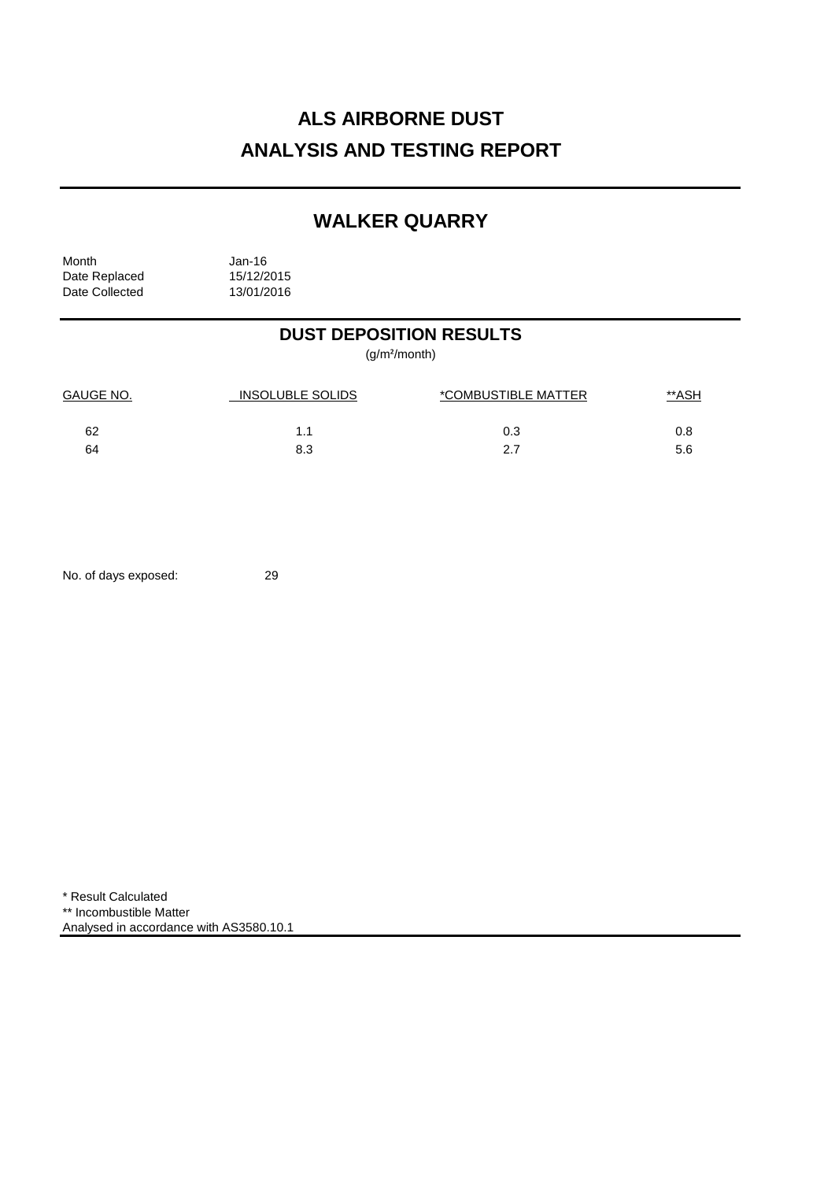# **ALS AIRBORNE DUST ANALYSIS AND TESTING REPORT**

## **WALKER QUARRY**

Month Jan-16<br>Date Replaced 15/12/2015 Date Replaced 15/12/2015<br>Date Collected 13/01/2016 Date Collected

## **DUST DEPOSITION RESULTS**

(g/m²/month)

| <b>GAUGE NO.</b> | INSOLUBLE SOLIDS | *COMBUSTIBLE MATTER | <u>**ASH</u> |
|------------------|------------------|---------------------|--------------|
| 62               |                  | 0.3                 | 0.8          |
| 64               | 8.3              | 27                  | 5.6          |

No. of days exposed: 29

\* Result Calculated \*\* Incombustible Matter Analysed in accordance with AS3580.10.1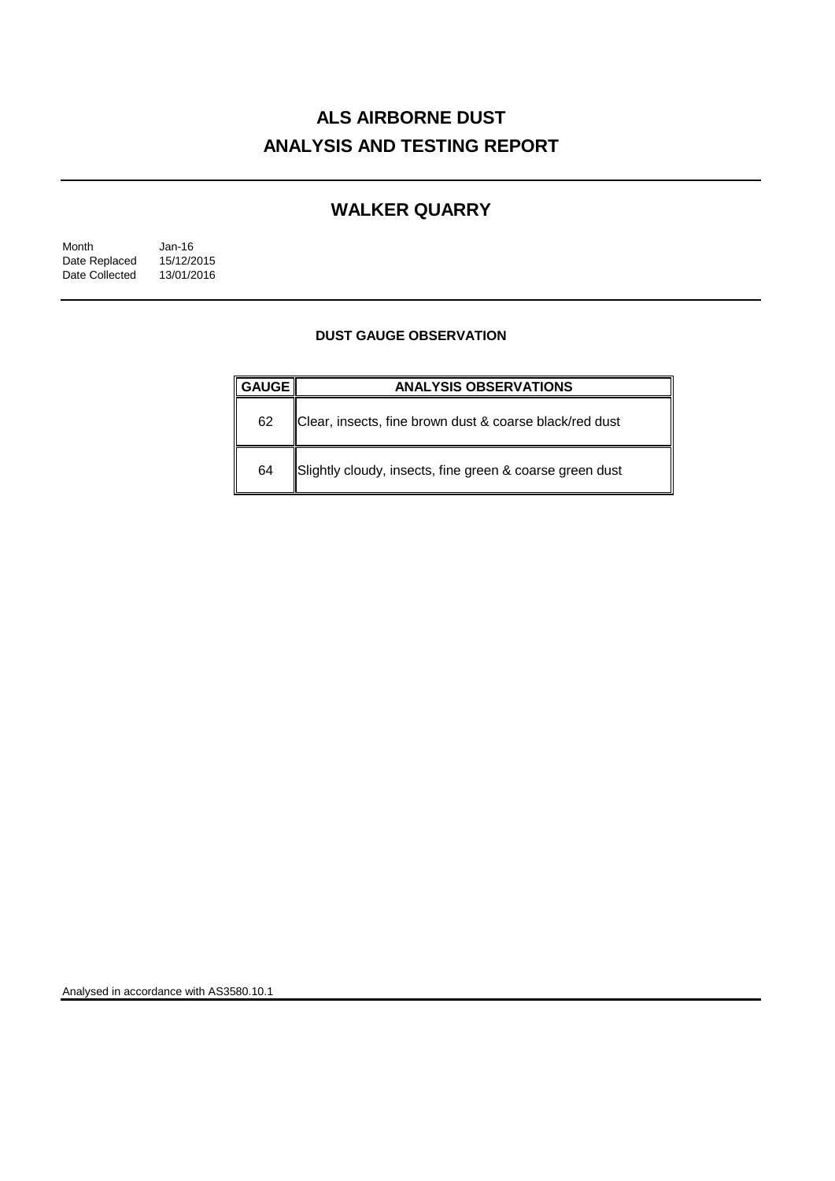# **ALS AIRBORNE DUST ANALYSIS AND TESTING REPORT**

## **WALKER QUARRY**

| Month          | Jan-16     |
|----------------|------------|
| Date Replaced  | 15/12/2015 |
| Date Collected | 13/01/2016 |

### **DUST GAUGE OBSERVATION**

| <b>GAUGE</b> l | <b>ANALYSIS OBSERVATIONS</b>                             |  |  |
|----------------|----------------------------------------------------------|--|--|
| 62             | Clear, insects, fine brown dust & coarse black/red dust  |  |  |
| 64             | Slightly cloudy, insects, fine green & coarse green dust |  |  |

Analysed in accordance with AS3580.10.1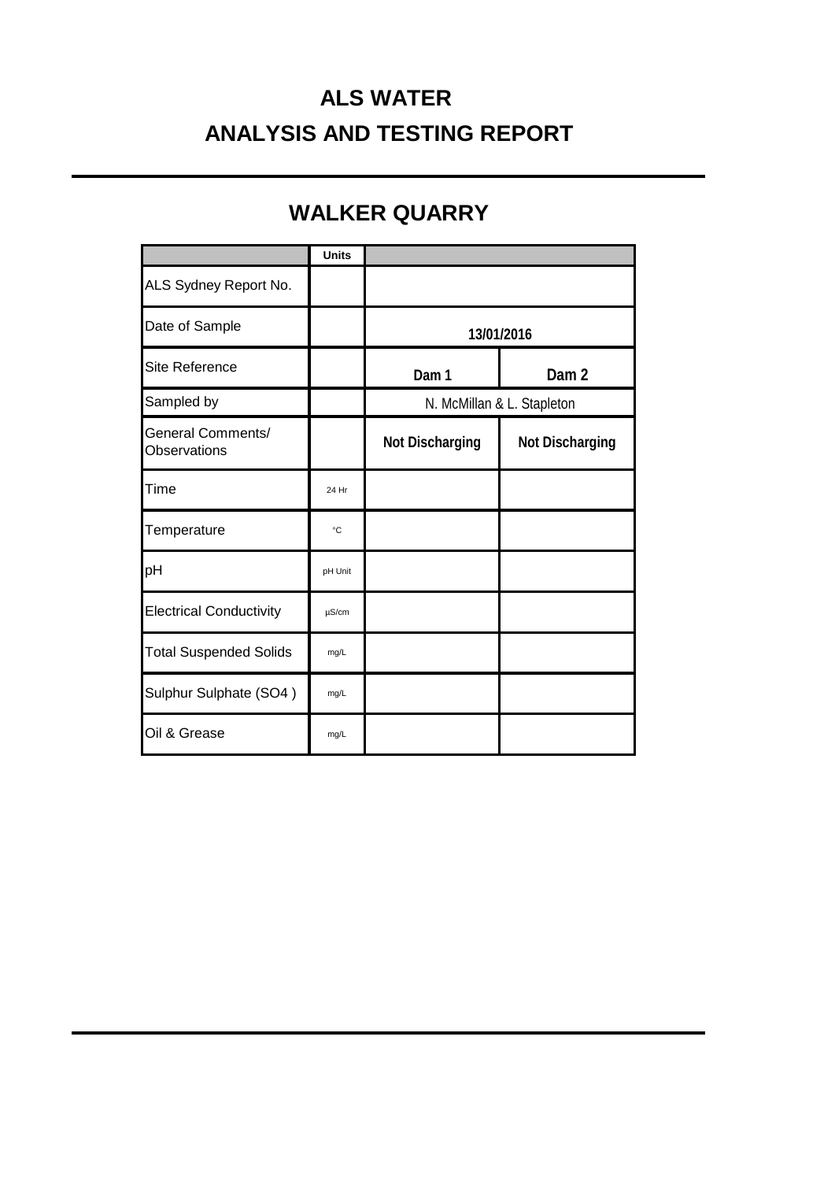# **ALS WATER ANALYSIS AND TESTING REPORT**

## **WALKER QUARRY**

|                                          | <b>Units</b> |                            |                  |
|------------------------------------------|--------------|----------------------------|------------------|
| ALS Sydney Report No.                    |              |                            |                  |
| Date of Sample                           |              | 13/01/2016                 |                  |
| Site Reference                           |              | Dam 1                      | Dam <sub>2</sub> |
| Sampled by                               |              | N. McMillan & L. Stapleton |                  |
| <b>General Comments/</b><br>Observations |              | <b>Not Discharging</b>     | Not Discharging  |
| Time                                     | 24 Hr        |                            |                  |
| Temperature                              | °C           |                            |                  |
| pH                                       | pH Unit      |                            |                  |
| <b>Electrical Conductivity</b>           | $\mu$ S/cm   |                            |                  |
| <b>Total Suspended Solids</b>            | mg/L         |                            |                  |
| Sulphur Sulphate (SO4)                   | mg/L         |                            |                  |
| Oil & Grease                             | mg/L         |                            |                  |